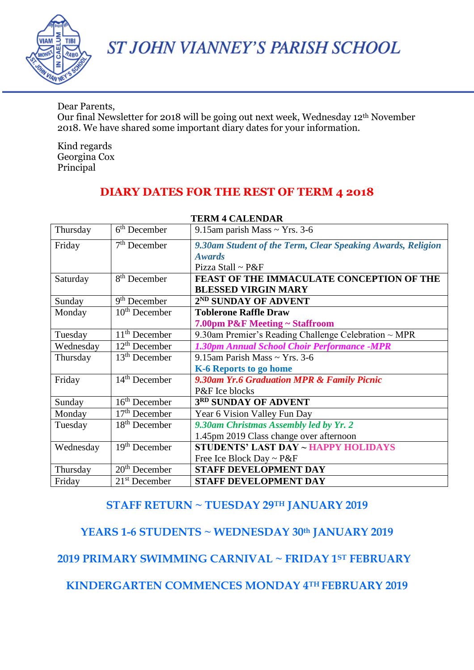

ST JOHN VIANNEY'S PARISH SCHOOL

Dear Parents, Our final Newsletter for 2018 will be going out next week, Wednesday 12th November 2018. We have shared some important diary dates for your information.

Kind regards Georgina Cox Principal

# **DIARY DATES FOR THE REST OF TERM 4 2018**

| Thursday  | $6th$ December           | 9.15am parish Mass $\sim$ Yrs. 3-6                          |  |
|-----------|--------------------------|-------------------------------------------------------------|--|
| Friday    | $7th$ December           | 9.30am Student of the Term, Clear Speaking Awards, Religion |  |
|           |                          | <b>Awards</b>                                               |  |
|           |                          | Pizza Stall ~ $P&F$                                         |  |
| Saturday  | 8 <sup>th</sup> December | FEAST OF THE IMMACULATE CONCEPTION OF THE                   |  |
|           |                          | <b>BLESSED VIRGIN MARY</b>                                  |  |
| Sunday    | $9th$ December           | 2 <sup>ND</sup> SUNDAY OF ADVENT                            |  |
| Monday    | $10th$ December          | <b>Toblerone Raffle Draw</b>                                |  |
|           |                          | 7.00pm P&F Meeting ~ Staffroom                              |  |
| Tuesday   | $11th$ December          | 9.30am Premier's Reading Challenge Celebration $\sim$ MPR   |  |
| Wednesday | $12th$ December          | 1.30pm Annual School Choir Performance -MPR                 |  |
| Thursday  | $13th$ December          | 9.15am Parish Mass ~ Yrs. 3-6                               |  |
|           |                          | K-6 Reports to go home                                      |  |
| Friday    | $14th$ December          | 9.30am Yr.6 Graduation MPR & Family Picnic                  |  |
|           |                          | P&F Ice blocks                                              |  |
| Sunday    | $16th$ December          | 3RD SUNDAY OF ADVENT                                        |  |
| Monday    | $17th$ December          | Year 6 Vision Valley Fun Day                                |  |
| Tuesday   | $18th$ December          | 9.30am Christmas Assembly led by Yr. 2                      |  |
|           |                          | 1.45pm 2019 Class change over afternoon                     |  |
| Wednesday | $19th$ December          | <b>STUDENTS' LAST DAY ~ HAPPY HOLIDAYS</b>                  |  |
|           |                          | Free Ice Block Day ~ P&F                                    |  |
| Thursday  | $20th$ December          | <b>STAFF DEVELOPMENT DAY</b>                                |  |
| Friday    | $21st$ December          | <b>STAFF DEVELOPMENT DAY</b>                                |  |

#### **TERM 4 CALENDAR**

## **STAFF RETURN ~ TUESDAY 29TH JANUARY 2019**

## **YEARS 1-6 STUDENTS ~ WEDNESDAY 30th JANUARY 2019**

### **2019 PRIMARY SWIMMING CARNIVAL ~ FRIDAY 1ST FEBRUARY**

**KINDERGARTEN COMMENCES MONDAY 4TH FEBRUARY 2019**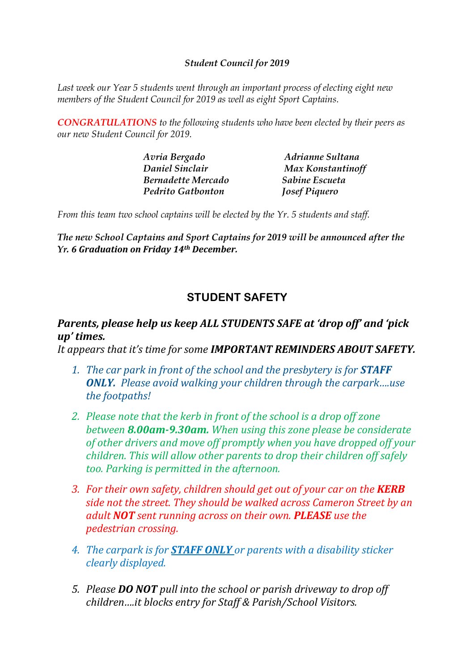#### *Student Council for 2019*

*Last week our Year 5 students went through an important process of electing eight new members of the Student Council for 2019 as well as eight Sport Captains.*

*CONGRATULATIONS to the following students who have been elected by their peers as our new Student Council for 2019.*

| Avria Bergado             | Adrianne Sultana     |
|---------------------------|----------------------|
| Daniel Sinclair           | Max Konstantinoff    |
| <b>Bernadette Mercado</b> | Sabine Escueta       |
| <b>Pedrito Gatbonton</b>  | <b>Josef Piquero</b> |

*From this team two school captains will be elected by the Yr. 5 students and staff.*

*The new School Captains and Sport Captains for 2019 will be announced after the Yr. 6 Graduation on Friday 14th December.*

## **STUDENT SAFETY**

## *Parents, please help us keep ALL STUDENTS SAFE at 'drop off' and 'pick up' times.*

*It appears that it's time for some IMPORTANT REMINDERS ABOUT SAFETY.*

- *1. The car park in front of the school and the presbytery is for STAFF ONLY. Please avoid walking your children through the carpark….use the footpaths!*
- *2. Please note that the kerb in front of the school is a drop off zone between 8.00am-9.30am. When using this zone please be considerate of other drivers and move off promptly when you have dropped off your children. This will allow other parents to drop their children off safely too. Parking is permitted in the afternoon.*
- *3. For their own safety, children should get out of your car on the KERB side not the street. They should be walked across Cameron Street by an adult NOT sent running across on their own. PLEASE use the pedestrian crossing.*
- *4. The carpark is for STAFF ONLY or parents with a disability sticker clearly displayed.*
- *5. Please DO NOT pull into the school or parish driveway to drop off children….it blocks entry for Staff & Parish/School Visitors.*